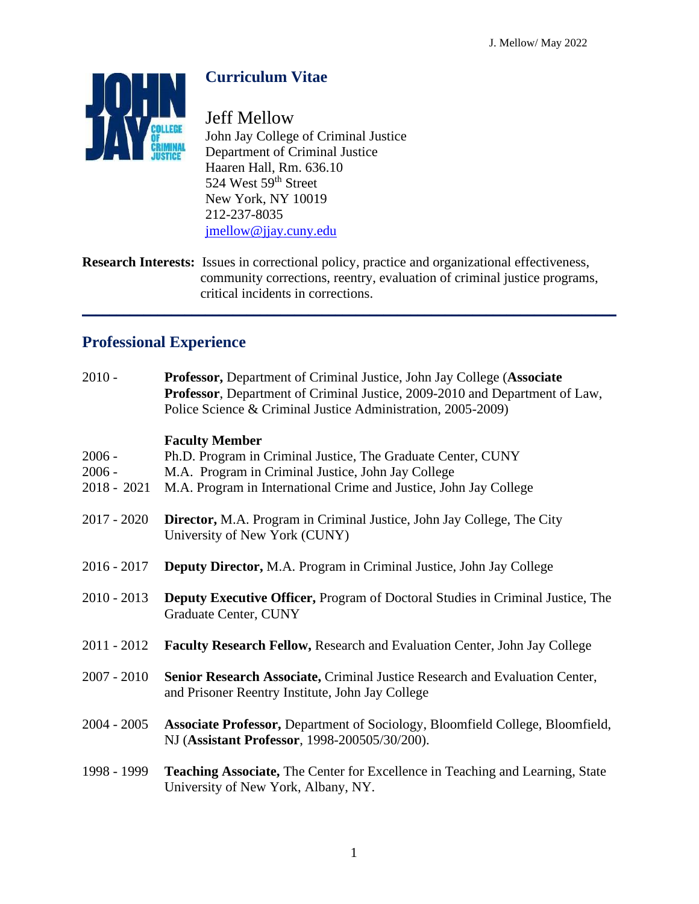

# **Curriculum Vitae**

Jeff Mellow John Jay College of Criminal Justice Department of Criminal Justice Haaren Hall, Rm. 636.10 524 West 59<sup>th</sup> Street New York, NY 10019 212-237-8035 [jmellow@jjay.cuny.edu](mailto:jmellow@jjay.cuny.edu)

**Research Interests:** Issues in correctional policy, practice and organizational effectiveness, community corrections, reentry, evaluation of criminal justice programs, critical incidents in corrections.

 $\mathcal{L}_\mathcal{L} = \mathcal{L}_\mathcal{L} = \mathcal{L}_\mathcal{L} = \mathcal{L}_\mathcal{L} = \mathcal{L}_\mathcal{L} = \mathcal{L}_\mathcal{L} = \mathcal{L}_\mathcal{L} = \mathcal{L}_\mathcal{L} = \mathcal{L}_\mathcal{L} = \mathcal{L}_\mathcal{L} = \mathcal{L}_\mathcal{L} = \mathcal{L}_\mathcal{L} = \mathcal{L}_\mathcal{L} = \mathcal{L}_\mathcal{L} = \mathcal{L}_\mathcal{L} = \mathcal{L}_\mathcal{L} = \mathcal{L}_\mathcal{L}$ 

## **Professional Experience**

| $2010 -$                              | Professor, Department of Criminal Justice, John Jay College (Associate<br>Professor, Department of Criminal Justice, 2009-2010 and Department of Law,<br>Police Science & Criminal Justice Administration, 2005-2009) |
|---------------------------------------|-----------------------------------------------------------------------------------------------------------------------------------------------------------------------------------------------------------------------|
| $2006 -$<br>$2006 -$<br>$2018 - 2021$ | <b>Faculty Member</b><br>Ph.D. Program in Criminal Justice, The Graduate Center, CUNY<br>M.A. Program in Criminal Justice, John Jay College<br>M.A. Program in International Crime and Justice, John Jay College      |
| $2017 - 2020$                         | Director, M.A. Program in Criminal Justice, John Jay College, The City<br>University of New York (CUNY)                                                                                                               |
| $2016 - 2017$                         | Deputy Director, M.A. Program in Criminal Justice, John Jay College                                                                                                                                                   |
| $2010 - 2013$                         | <b>Deputy Executive Officer, Program of Doctoral Studies in Criminal Justice, The</b><br><b>Graduate Center, CUNY</b>                                                                                                 |
| $2011 - 2012$                         | <b>Faculty Research Fellow, Research and Evaluation Center, John Jay College</b>                                                                                                                                      |
| $2007 - 2010$                         | Senior Research Associate, Criminal Justice Research and Evaluation Center,<br>and Prisoner Reentry Institute, John Jay College                                                                                       |
| $2004 - 2005$                         | Associate Professor, Department of Sociology, Bloomfield College, Bloomfield,<br>NJ (Assistant Professor, 1998-200505/30/200).                                                                                        |
| 1998 - 1999                           | Teaching Associate, The Center for Excellence in Teaching and Learning, State<br>University of New York, Albany, NY.                                                                                                  |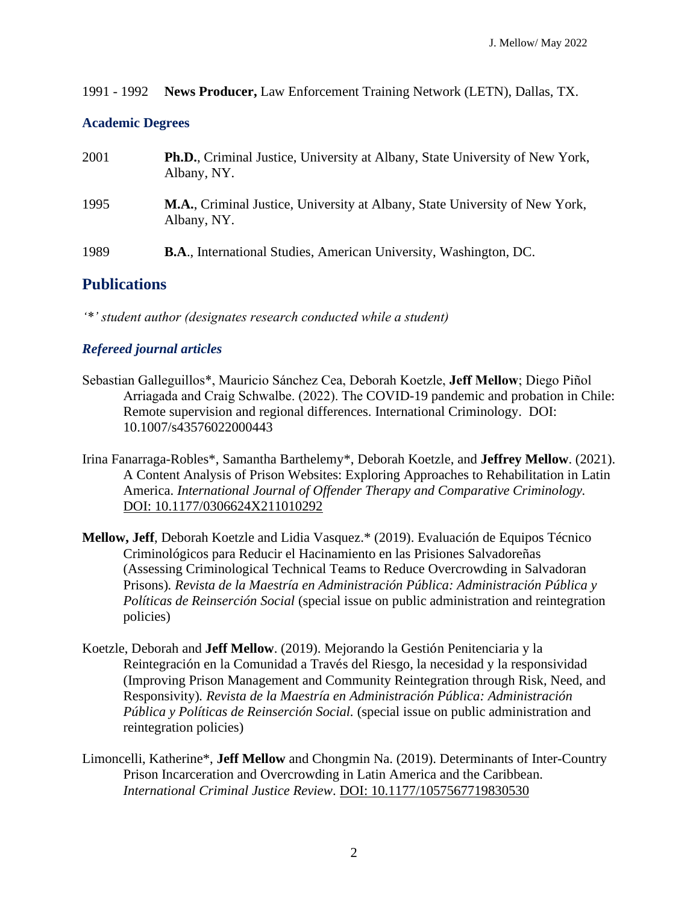1991 - 1992 **News Producer,** Law Enforcement Training Network (LETN), Dallas, TX.

#### **Academic Degrees**

| 2001 | <b>Ph.D.</b> , Criminal Justice, University at Albany, State University of New York,<br>Albany, NY. |
|------|-----------------------------------------------------------------------------------------------------|
| 1995 | <b>M.A., Criminal Justice, University at Albany, State University of New York,</b><br>Albany, NY.   |
| 1989 | <b>B.A., International Studies, American University, Washington, DC.</b>                            |

## **Publications**

*'\*' student author (designates research conducted while a student)*

### *Refereed journal articles*

- Sebastian Galleguillos\*, Mauricio Sánchez Cea, Deborah Koetzle, **Jeff Mellow**; Diego Piñol Arriagada and Craig Schwalbe. (2022). The COVID-19 pandemic and probation in Chile: Remote supervision and regional differences. International Criminology. DOI: 10.1007/s43576022000443
- Irina Fanarraga-Robles\*, Samantha Barthelemy\*, Deborah Koetzle, and **Jeffrey Mellow**. (2021). A Content Analysis of Prison Websites: Exploring Approaches to Rehabilitation in Latin America. *International Journal of Offender Therapy and Comparative Criminology.* DOI: 10.1177/0306624X211010292
- **Mellow, Jeff**, Deborah Koetzle and Lidia Vasquez.\* (2019). Evaluación de Equipos Técnico Criminológicos para Reducir el Hacinamiento en las Prisiones Salvadoreñas (Assessing Criminological Technical Teams to Reduce Overcrowding in Salvadoran Prisons)*. Revista de la Maestría en Administración Pública: Administración Pública y Políticas de Reinserción Social* (special issue on public administration and reintegration policies)
- Koetzle, Deborah and **Jeff Mellow**. (2019). Mejorando la Gestión Penitenciaria y la Reintegración en la Comunidad a Través del Riesgo, la necesidad y la responsividad (Improving Prison Management and Community Reintegration through Risk, Need, and Responsivity)*. Revista de la Maestría en Administración Pública: Administración Pública y Políticas de Reinserción Social.* (special issue on public administration and reintegration policies)
- Limoncelli, Katherine\*, **Jeff Mellow** and Chongmin Na. (2019). Determinants of Inter-Country Prison Incarceration and Overcrowding in Latin America and the Caribbean*. International Criminal Justice Review*. [DOI: 10.1177/1057567719830530](https://doi.org/10.1177/1057567719830530)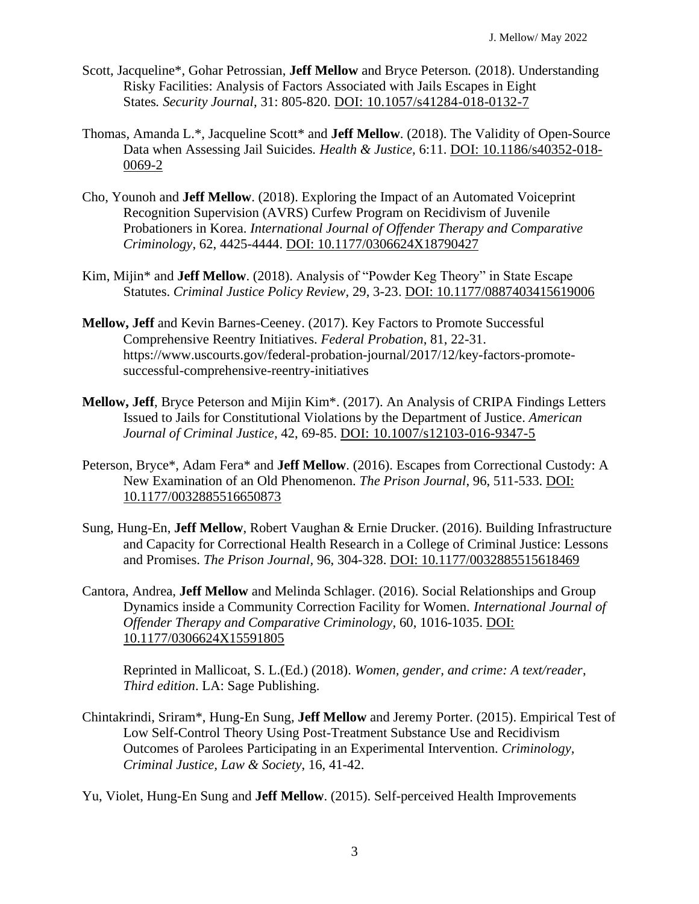- Scott, Jacqueline\*, Gohar Petrossian, **Jeff Mellow** and Bryce Peterson*.* (2018). Understanding Risky Facilities: Analysis of Factors Associated with Jails Escapes in Eight States*. Security Journal*, 31: 805-820. [DOI: 10.1057/s41284-018-0132-7](https://doi.org/10.1057/s41284-018-0132-7)
- Thomas, Amanda L.\*, Jacqueline Scott\* and **Jeff Mellow**. (2018). The Validity of Open-Source Data when Assessing Jail Suicides*. Health & Justice,* 6:11. [DOI: 10.1186/s40352-018-](https://doi.org/10.1186/s40352-018-0069-2) [0069-2](https://doi.org/10.1186/s40352-018-0069-2)
- Cho, Younoh and **Jeff Mellow**. (2018). Exploring the Impact of an Automated Voiceprint Recognition Supervision (AVRS) Curfew Program on Recidivism of Juvenile Probationers in Korea. *International Journal of Offender Therapy and Comparative Criminology*, 62, 4425-4444. [DOI: 10.1177/0306624X18790427](https://doi.org/10.1177%2F0306624X18790427)
- Kim, Mijin\* and **Jeff Mellow**. (2018). Analysis of "Powder Keg Theory" in State Escape Statutes. *Criminal Justice Policy Review,* 29, 3-23. [DOI: 10.1177/0887403415619006](https://doi.org/10.1177%2F0887403415619006)
- **Mellow, Jeff** and Kevin Barnes-Ceeney. (2017). Key Factors to Promote Successful Comprehensive Reentry Initiatives. *Federal Probation*, 81, 22-31. https://www.uscourts.gov/federal-probation-journal/2017/12/key-factors-promotesuccessful-comprehensive-reentry-initiatives
- **Mellow, Jeff**, Bryce Peterson and Mijin Kim\*. (2017). An Analysis of CRIPA Findings Letters Issued to Jails for Constitutional Violations by the Department of Justice. *American Journal of Criminal Justice,* 42, 69-85. [DOI: 10.1007/s12103-016-9347-5](https://doi.org/10.1007/s12103-016-9347-5)
- Peterson, Bryce\*, Adam Fera\* and **Jeff Mellow**. (2016). Escapes from Correctional Custody: A New Examination of an Old Phenomenon. *The Prison Journal*, 96, 511-533. [DOI:](https://doi.org/10.1177%2F0032885516650873)  [10.1177/0032885516650873](https://doi.org/10.1177%2F0032885516650873)
- Sung, Hung-En, **Jeff Mellow**, Robert Vaughan & Ernie Drucker. (2016). Building Infrastructure and Capacity for Correctional Health Research in a College of Criminal Justice: Lessons and Promises. *The Prison Journal,* 96, 304-328. DOI: [10.1177/0032885515618469](https://doi.org/10.1177%2F0032885515618469)
- Cantora, Andrea, **Jeff Mellow** and Melinda Schlager. (2016). Social Relationships and Group Dynamics inside a Community Correction Facility for Women. *International Journal of Offender Therapy and Comparative Criminology,* 60, 1016-1035. DOI: [10.1177/0306624X15591805](https://doi.org/10.1177/0306624X15591805)

Reprinted in Mallicoat, S. L.(Ed.) (2018). *Women, gender, and crime: A text/reader*, *Third edition*. LA: Sage Publishing.

- Chintakrindi, Sriram\*, Hung-En Sung, **Jeff Mellow** and Jeremy Porter. (2015). Empirical Test of Low Self-Control Theory Using Post-Treatment Substance Use and Recidivism Outcomes of Parolees Participating in an Experimental Intervention. *Criminology, Criminal Justice, Law & Society*, 16, 41-42.
- Yu, Violet, Hung-En Sung and **Jeff Mellow**. (2015). Self-perceived Health Improvements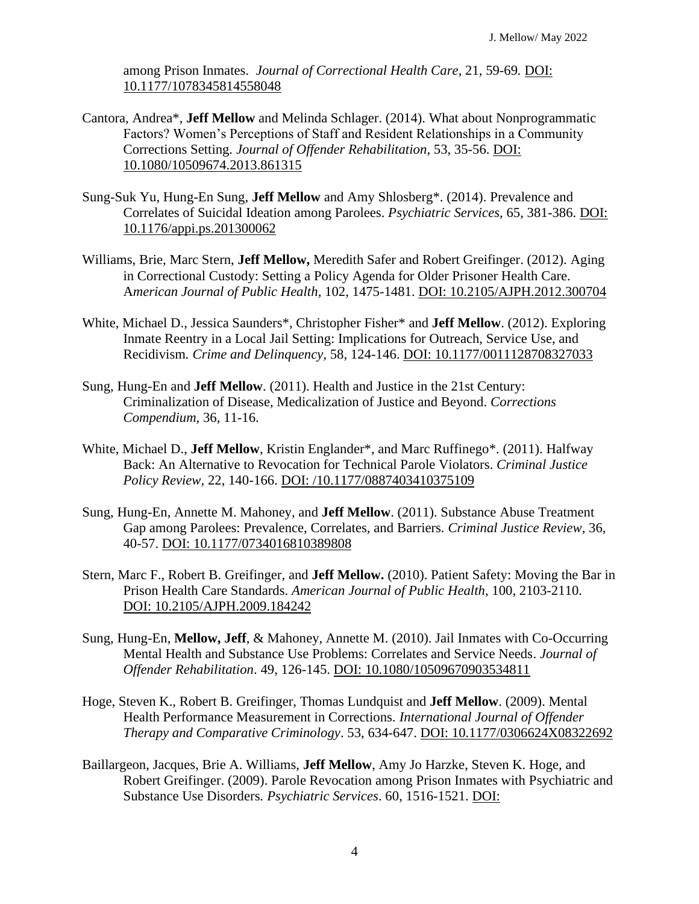among Prison Inmates. *Journal of Correctional Health Care*, 21, 59-69*.* DOI: [10.1177/1078345814558048](https://doi.org/10.1177/1078345814558048)

- Cantora, Andrea\*, **Jeff Mellow** and Melinda Schlager. (2014). What about Nonprogrammatic Factors? Women's Perceptions of Staff and Resident Relationships in a Community Corrections Setting*. Journal of Offender Rehabilitation,* 53, 35-56. DOI: [10.1080/10509674.2013.861315](https://doi.org/10.1080/10509674.2013.861315)
- Sung-Suk Yu, Hung-En Sung, **Jeff Mellow** and Amy Shlosberg\*. (2014). Prevalence and Correlates of Suicidal Ideation among Parolees. *Psychiatric Services*, 65, 381-386. [DOI:](https://doi.org/10.1176/appi.ps.201300062)  [10.1176/appi.ps.201300062](https://doi.org/10.1176/appi.ps.201300062)
- Williams, Brie, Marc Stern, **Jeff Mellow,** Meredith Safer and Robert Greifinger. (2012). Aging in Correctional Custody: Setting a Policy Agenda for Older Prisoner Health Care. A*merican Journal of Public Health,* 102, 1475-1481. [DOI: 10.2105/AJPH.2012.300704](https://doi.org/10.2105/AJPH.2012.300704)
- White, Michael D., Jessica Saunders\*, Christopher Fisher\* and **Jeff Mellow**. (2012). Exploring Inmate Reentry in a Local Jail Setting: Implications for Outreach, Service Use, and Recidivism*. Crime and Delinquency*, 58, 124-146. [DOI: 10.1177/0011128708327033](https://doi.org/10.1177%2F0011128708327033)
- Sung, Hung-En and **Jeff Mellow**. (2011). Health and Justice in the 21st Century: Criminalization of Disease, Medicalization of Justice and Beyond. *Corrections Compendium*, 36, 11-16.
- White, Michael D., **Jeff Mellow**, Kristin Englander\*, and Marc Ruffinego\*. (2011). Halfway Back: An Alternative to Revocation for Technical Parole Violators. *Criminal Justice Policy Review,* 22, 140-166. [DOI: /10.1177/0887403410375109](https://doi.org/10.1177%2F0887403410375109)
- Sung, Hung-En, Annette M. Mahoney, and **Jeff Mellow**. (2011). Substance Abuse Treatment Gap among Parolees: Prevalence, Correlates, and Barriers. *Criminal Justice Review,* 36, 40-57. [DOI: 10.1177/0734016810389808](https://doi.org/10.1177%2F0734016810389808)
- Stern, Marc F., Robert B. Greifinger, and **Jeff Mellow.** (2010). Patient Safety: Moving the [Bar in](https://ajph.aphapublications.org/doi/abs/10.2105/AJPH.2009.184242)  Prison Health Care Standards. *American Journal of Public Health,* 100, 2103-2110. [DOI: 10.2105/AJPH.2009.184242](https://ajph.aphapublications.org/doi/abs/10.2105/AJPH.2009.184242)
- Sung, Hung-En, **Mellow, Jeff**, & Mahoney, Annette M. (2010). Jail Inmates with Co-Occurring Mental Health and Substance Use Problems: Correlates and Service Needs. *Journal of Offender Rehabilitation*. 49, 126-145. [DOI: 10.1080/10509670903534811](https://doi.org/10.1080/10509670903534811)
- Hoge, Steven K., Robert B. Greifinger, Thomas Lundquist and **Jeff Mellow**. (2009). Mental Health Performance Measurement in Corrections. *International Journal of Offender Therapy and Comparative Criminology*. 53, 634-647. [DOI: 10.1177/0306624X08322692](https://doi.org/10.1177%2F0306624X08322692)
- Baillargeon, Jacques, Brie A. Williams, **Jeff Mellow**, Amy Jo Harzke, Steven K. Hoge, and Robert Greifinger. (2009). Parole Revocation among Prison Inmates with Psychiatric and Substance Use Disorders*. Psychiatric Services*. 60, 1516-1521. [DOI:](https://doi.org/10.1176/ps.2009.60.11.1516)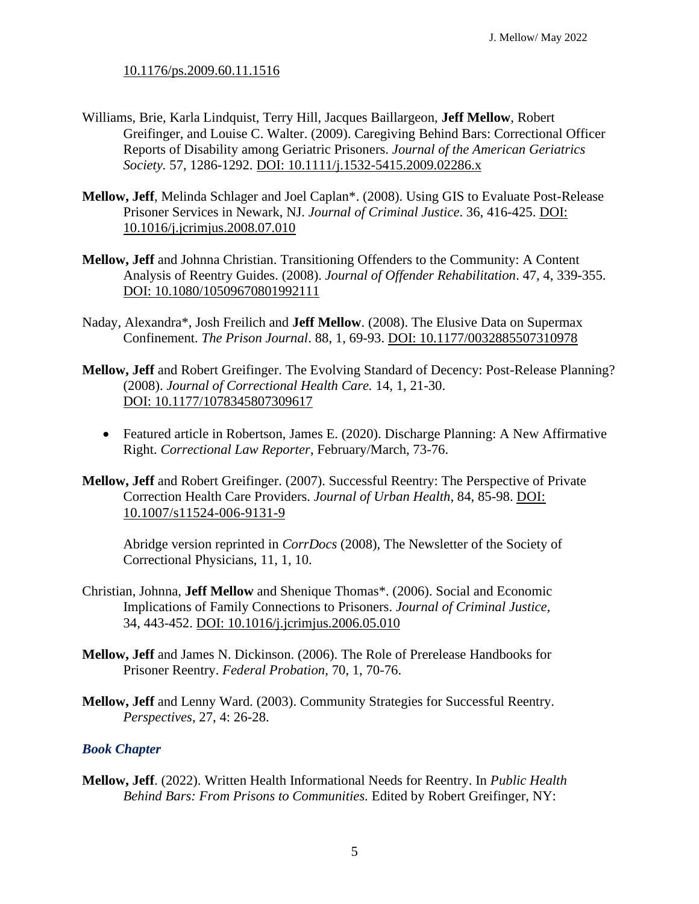[10.1176/ps.2009.60.11.1516](https://doi.org/10.1176/ps.2009.60.11.1516)

- Williams, Brie, Karla Lindquist, Terry Hill, Jacques Baillargeon, **Jeff Mellow**, Robert Greifinger, and Louise C. Walter. (2009). Caregiving Behind Bars: Correctional Officer Reports of Disability among Geriatric Prisoners. *Journal of the American Geriatrics Society.* 57, 1286-1292. DOI: [10.1111/j.1532-5415.2009.02286.x](https://doi.org/10.1111/j.1532-5415.2009.02286.x)
- **Mellow, Jeff**, Melinda Schlager and Joel Caplan\*. (2008). Using GIS to Evaluate Post-Release Prisoner Services in Newark, NJ. *Journal of Criminal Justice*. 36, 416-425. [DOI:](https://doi.org/10.1016/j.jcrimjus.2008.07.010)  [10.1016/j.jcrimjus.2008.07.010](https://doi.org/10.1016/j.jcrimjus.2008.07.010)
- **Mellow, Jeff** and Johnna Christian. Transitioning Offenders to the Community: A Content Analysis of Reentry Guides. (2008). *Journal of Offender Rehabilitation*. 47, 4, 339-355. [DOI: 10.1080/10509670801992111](https://doi.org/10.1080/10509670801992111)
- Naday, Alexandra\*, Josh Freilich and **Jeff Mellow**. (2008). The Elusive Data on Supermax Confinement. *The Prison Journal*. 88, 1, 69-93. [DOI: 10.1177/0032885507310978](https://doi.org/10.1177%2F0032885507310978)
- **Mellow, Jeff** and Robert Greifinger. The Evolving Standard of Decency: Post-Release Planning? (2008). *Journal of Correctional Health Care.* 14, 1, 21-30. [DOI: 10.1177/1078345807309617](https://doi.org/10.1177%2F1078345807309617)
	- Featured article in Robertson, James E. (2020). Discharge Planning: A New Affirmative Right. *Correctional Law Reporter*, February/March, 73-76.
- **Mellow, Jeff** and Robert Greifinger. (2007). Successful Reentry: The Perspective of Private Correction Health Care Providers. *Journal of Urban Health*, 84, 85-98. [DOI:](https://doi.org/10.1007/s11524-006-9131-9)  [10.1007/s11524-006-9131-9](https://doi.org/10.1007/s11524-006-9131-9)

Abridge version reprinted in *CorrDocs* (2008), The Newsletter of the Society of Correctional Physicians, 11, 1, 10.

- Christian, Johnna, **Jeff Mellow** and Shenique Thomas\*. (2006). Social and Economic Implications of Family Connections to Prisoners. *Journal of Criminal Justice,* 34, 443-452. [DOI: 10.1016/j.jcrimjus.2006.05.010](https://doi.org/10.1016/j.jcrimjus.2006.05.010)
- **Mellow, Jeff** and James N. Dickinson. (2006). The Role of Prerelease Handbooks for Prisoner Reentry. *Federal Probation*, 70, 1, 70-76.
- **Mellow, Jeff** and Lenny Ward. (2003). Community Strategies for Successful Reentry. *Perspectives*, 27, 4: 26-28.

### *Book Chapter*

**Mellow, Jeff**. (2022). Written Health Informational Needs for Reentry. In *Public Health Behind Bars: From Prisons to Communities.* Edited by Robert Greifinger, NY: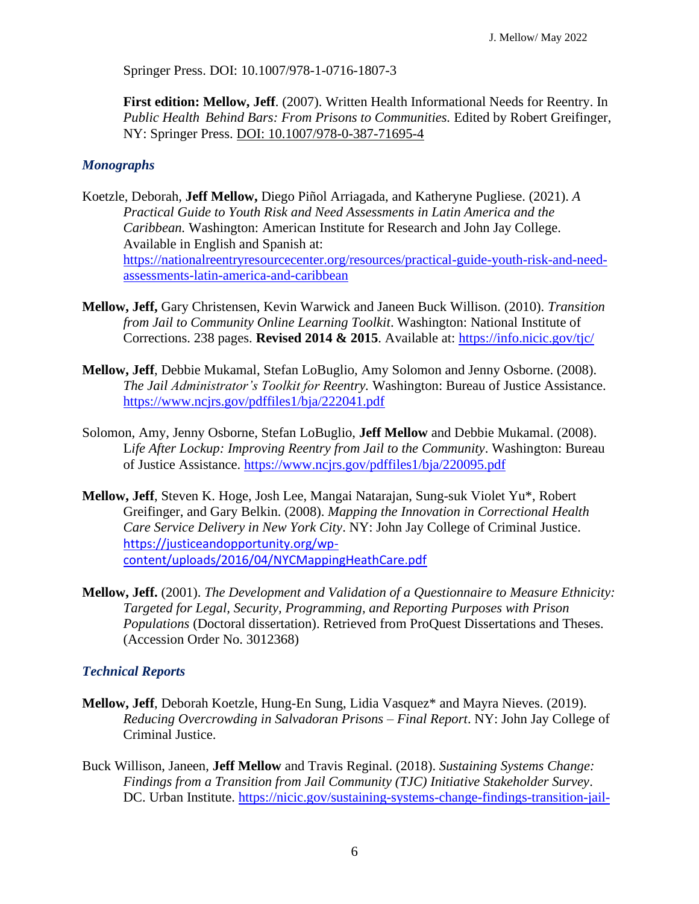Springer Press. DOI: 10.1007/978-1-0716-1807-3

**First edition: Mellow, Jeff**. (2007). Written Health Informational Needs for Reentry. In *Public Health Behind Bars: From Prisons to Communities.* Edited by Robert Greifinger, NY: Springer Press. DOI: 10.1007/978-0-387-71695-4

### *Monographs*

- Koetzle, Deborah, **Jeff Mellow,** Diego Piñol Arriagada, and Katheryne Pugliese. (2021). *A Practical Guide to Youth Risk and Need Assessments in Latin America and the Caribbean.* Washington: American Institute for Research and John Jay College. Available in English and Spanish at: [https://nationalreentryresourcecenter.org/resources/practical-guide-youth-risk-and-need](https://nationalreentryresourcecenter.org/resources/practical-guide-youth-risk-and-need-assessments-latin-america-and-caribbean)[assessments-latin-america-and-caribbean](https://nationalreentryresourcecenter.org/resources/practical-guide-youth-risk-and-need-assessments-latin-america-and-caribbean)
- **Mellow, Jeff,** Gary Christensen, Kevin Warwick and Janeen Buck Willison. (2010). *Transition from Jail to Community Online Learning Toolkit*. Washington: National Institute of Corrections. 238 pages. **Revised 2014 & 2015**. Available at: <https://info.nicic.gov/tjc/>
- **Mellow, Jeff**, Debbie Mukamal, Stefan LoBuglio, Amy Solomon and Jenny Osborne. (2008). *The Jail Administrator's Toolkit for Reentry.* Washington: Bureau of Justice Assistance. <https://www.ncjrs.gov/pdffiles1/bja/222041.pdf>
- Solomon, Amy, Jenny Osborne, Stefan LoBuglio, **Jeff Mellow** and Debbie Mukamal. (2008). L*ife After Lockup: Improving Reentry from Jail to the Community*. Washington: Bureau of Justice Assistance.<https://www.ncjrs.gov/pdffiles1/bja/220095.pdf>
- **Mellow, Jeff**, Steven K. Hoge, Josh Lee, Mangai Natarajan, Sung-suk Violet Yu\*, Robert Greifinger, and Gary Belkin. (2008). *Mapping the Innovation in Correctional Health Care Service Delivery in New York City*. NY: John Jay College of Criminal Justice. [https://justiceandopportunity.org/wp](https://justiceandopportunity.org/wp-content/uploads/2016/04/NYCMappingHeathCare.pdf)[content/uploads/2016/04/NYCMappingHeathCare.pdf](https://justiceandopportunity.org/wp-content/uploads/2016/04/NYCMappingHeathCare.pdf)
- **Mellow, Jeff.** (2001). *The Development and Validation of a Questionnaire to Measure Ethnicity: Targeted for Legal, Security, Programming, and Reporting Purposes with Prison Populations* (Doctoral dissertation). Retrieved from ProQuest Dissertations and Theses. (Accession Order No. 3012368)

### *Technical Reports*

- **Mellow, Jeff**, Deborah Koetzle, Hung-En Sung, Lidia Vasquez\* and Mayra Nieves. (2019). *Reducing Overcrowding in Salvadoran Prisons – Final Report*. NY: John Jay College of Criminal Justice.
- Buck Willison, Janeen, **Jeff Mellow** and Travis Reginal. (2018). *Sustaining Systems Change: Findings from a Transition from Jail Community (TJC) Initiative Stakeholder Survey*. DC. Urban Institute. [https://nicic.gov/sustaining-systems-change-findings-transition-jail-](https://nicic.gov/sustaining-systems-change-findings-transition-jail-community-initiative-stakeholder-survey)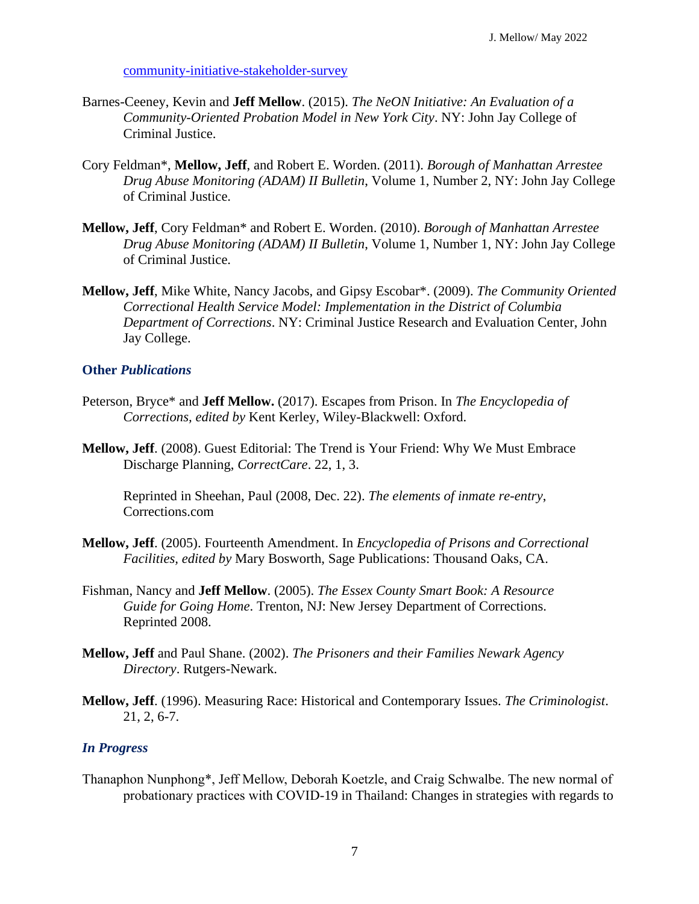[community-initiative-stakeholder-survey](https://nicic.gov/sustaining-systems-change-findings-transition-jail-community-initiative-stakeholder-survey)

- Barnes-Ceeney, Kevin and **Jeff Mellow**. (2015). *The NeON Initiative: An Evaluation of a Community-Oriented Probation Model in New York City*. NY: John Jay College of Criminal Justice.
- Cory Feldman\*, **Mellow, Jeff**, and Robert E. Worden. (2011). *Borough of Manhattan Arrestee Drug Abuse Monitoring (ADAM) II Bulletin*, Volume 1, Number 2, NY: John Jay College of Criminal Justice.
- **Mellow, Jeff**, Cory Feldman\* and Robert E. Worden. (2010). *Borough of Manhattan Arrestee Drug Abuse Monitoring (ADAM) II Bulletin*, Volume 1, Number 1, NY: John Jay College of Criminal Justice.
- **Mellow, Jeff**, Mike White, Nancy Jacobs, and Gipsy Escobar\*. (2009). *The Community Oriented Correctional Health Service Model: Implementation in the District of Columbia Department of Corrections*. NY: Criminal Justice Research and Evaluation Center, John Jay College.

#### **Other** *Publications*

- Peterson, Bryce\* and **Jeff Mellow.** (2017). Escapes from Prison. In *The Encyclopedia of Corrections, edited by* Kent Kerley, Wiley-Blackwell: Oxford.
- **Mellow, Jeff**. (2008). Guest Editorial: The Trend is Your Friend: Why We Must Embrace Discharge Planning, *CorrectCare*. 22, 1, 3.

Reprinted in Sheehan, Paul (2008, Dec. 22). *The elements of inmate re-entry*, Corrections.com

- **Mellow, Jeff**. (2005). Fourteenth Amendment. In *Encyclopedia of Prisons and Correctional Facilities, edited by* Mary Bosworth, Sage Publications: Thousand Oaks, CA.
- Fishman, Nancy and **Jeff Mellow**. (2005). *The Essex County Smart Book: A Resource Guide for Going Home*. Trenton, NJ: New Jersey Department of Corrections. Reprinted 2008.
- **Mellow, Jeff** and Paul Shane. (2002). *The Prisoners and their Families Newark Agency Directory*. Rutgers-Newark.
- **Mellow, Jeff**. (1996). Measuring Race: Historical and Contemporary Issues. *The Criminologist*. 21, 2, 6-7.

#### *In Progress*

Thanaphon Nunphong\*, Jeff Mellow, Deborah Koetzle, and Craig Schwalbe. The new normal of probationary practices with COVID-19 in Thailand: Changes in strategies with regards to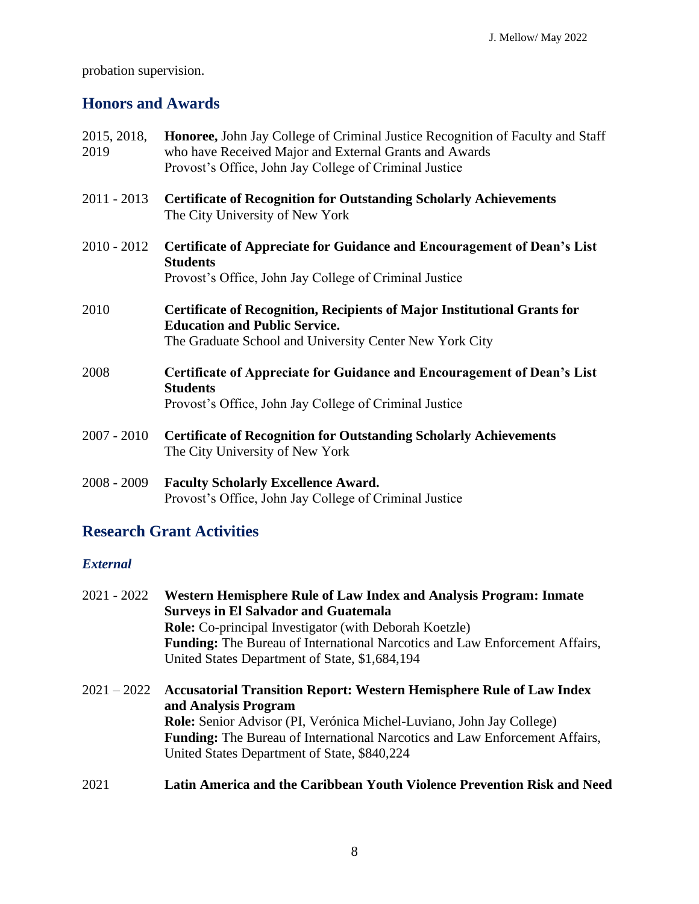probation supervision.

# **Honors and Awards**

| 2015, 2018,<br>2019 | Honoree, John Jay College of Criminal Justice Recognition of Faculty and Staff<br>who have Received Major and External Grants and Awards<br>Provost's Office, John Jay College of Criminal Justice |
|---------------------|----------------------------------------------------------------------------------------------------------------------------------------------------------------------------------------------------|
| $2011 - 2013$       | <b>Certificate of Recognition for Outstanding Scholarly Achievements</b><br>The City University of New York                                                                                        |
| $2010 - 2012$       | <b>Certificate of Appreciate for Guidance and Encouragement of Dean's List</b><br><b>Students</b><br>Provost's Office, John Jay College of Criminal Justice                                        |
| 2010                | <b>Certificate of Recognition, Recipients of Major Institutional Grants for</b><br><b>Education and Public Service.</b><br>The Graduate School and University Center New York City                 |
| 2008                | Certificate of Appreciate for Guidance and Encouragement of Dean's List<br><b>Students</b><br>Provost's Office, John Jay College of Criminal Justice                                               |
| $2007 - 2010$       | <b>Certificate of Recognition for Outstanding Scholarly Achievements</b><br>The City University of New York                                                                                        |
| $2008 - 2009$       | <b>Faculty Scholarly Excellence Award.</b><br>Provost's Office, John Jay College of Criminal Justice                                                                                               |

# **Research Grant Activities**

## *External*

| $2021 - 2022$ | Western Hemisphere Rule of Law Index and Analysis Program: Inmate                                   |
|---------------|-----------------------------------------------------------------------------------------------------|
|               | <b>Surveys in El Salvador and Guatemala</b>                                                         |
|               | <b>Role:</b> Co-principal Investigator (with Deborah Koetzle)                                       |
|               | <b>Funding:</b> The Bureau of International Narcotics and Law Enforcement Affairs,                  |
|               | United States Department of State, \$1,684,194                                                      |
|               | 2021 – 2022 Accusatorial Transition Report: Western Hemisphere Rule of Law Index                    |
|               | and Analysis Program<br><b>Role:</b> Senior Advisor (PI, Verónica Michel-Luviano, John Jay College) |
|               | <b>Funding:</b> The Bureau of International Narcotics and Law Enforcement Affairs,                  |
|               |                                                                                                     |
|               | United States Department of State, \$840,224                                                        |
| 2021          | Latin America and the Caribbean Youth Violence Prevention Risk and Need                             |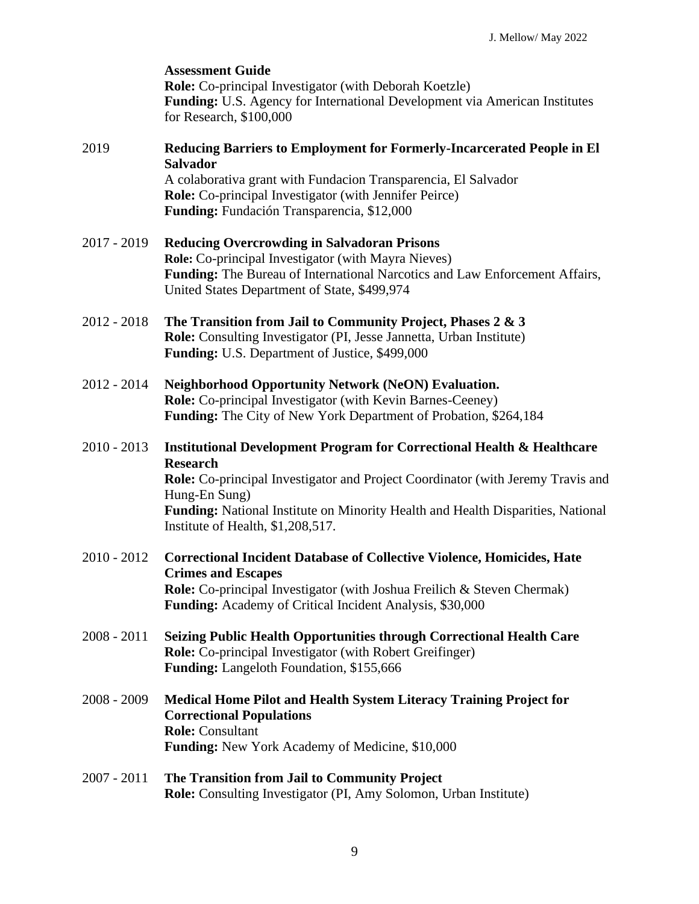|               | <b>Assessment Guide</b><br>Role: Co-principal Investigator (with Deborah Koetzle)<br><b>Funding:</b> U.S. Agency for International Development via American Institutes<br>for Research, \$100,000                                                                                                                                       |
|---------------|-----------------------------------------------------------------------------------------------------------------------------------------------------------------------------------------------------------------------------------------------------------------------------------------------------------------------------------------|
| 2019          | Reducing Barriers to Employment for Formerly-Incarcerated People in El<br><b>Salvador</b><br>A colaborativa grant with Fundacion Transparencia, El Salvador<br><b>Role:</b> Co-principal Investigator (with Jennifer Peirce)<br>Funding: Fundación Transparencia, \$12,000                                                              |
| $2017 - 2019$ | <b>Reducing Overcrowding in Salvadoran Prisons</b><br>Role: Co-principal Investigator (with Mayra Nieves)<br><b>Funding:</b> The Bureau of International Narcotics and Law Enforcement Affairs,<br>United States Department of State, \$499,974                                                                                         |
| $2012 - 2018$ | The Transition from Jail to Community Project, Phases 2 & 3<br>Role: Consulting Investigator (PI, Jesse Jannetta, Urban Institute)<br>Funding: U.S. Department of Justice, \$499,000                                                                                                                                                    |
| $2012 - 2014$ | <b>Neighborhood Opportunity Network (NeON) Evaluation.</b><br><b>Role:</b> Co-principal Investigator (with Kevin Barnes-Ceeney)<br><b>Funding:</b> The City of New York Department of Probation, \$264,184                                                                                                                              |
| $2010 - 2013$ | <b>Institutional Development Program for Correctional Health &amp; Healthcare</b><br><b>Research</b><br><b>Role:</b> Co-principal Investigator and Project Coordinator (with Jeremy Travis and<br>Hung-En Sung)<br>Funding: National Institute on Minority Health and Health Disparities, National<br>Institute of Health, \$1,208,517. |
| $2010 - 2012$ | <b>Correctional Incident Database of Collective Violence, Homicides, Hate</b><br><b>Crimes and Escapes</b><br><b>Role:</b> Co-principal Investigator (with Joshua Freilich & Steven Chermak)<br><b>Funding:</b> Academy of Critical Incident Analysis, \$30,000                                                                         |
| $2008 - 2011$ | <b>Seizing Public Health Opportunities through Correctional Health Care</b><br><b>Role:</b> Co-principal Investigator (with Robert Greifinger)<br><b>Funding:</b> Langeloth Foundation, \$155,666                                                                                                                                       |
| $2008 - 2009$ | <b>Medical Home Pilot and Health System Literacy Training Project for</b><br><b>Correctional Populations</b><br><b>Role:</b> Consultant<br><b>Funding:</b> New York Academy of Medicine, \$10,000                                                                                                                                       |
| $2007 - 2011$ | The Transition from Jail to Community Project<br><b>Role:</b> Consulting Investigator (PI, Amy Solomon, Urban Institute)                                                                                                                                                                                                                |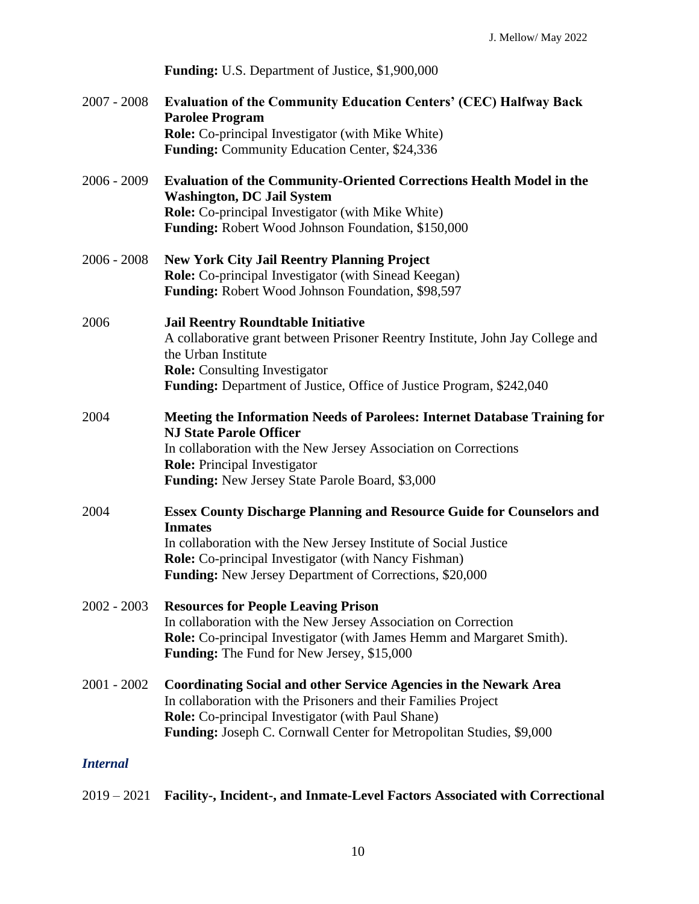|                 | Funding: U.S. Department of Justice, \$1,900,000                                                                                                                                                                                                                                                    |
|-----------------|-----------------------------------------------------------------------------------------------------------------------------------------------------------------------------------------------------------------------------------------------------------------------------------------------------|
| $2007 - 2008$   | <b>Evaluation of the Community Education Centers' (CEC) Halfway Back</b><br><b>Parolee Program</b><br><b>Role:</b> Co-principal Investigator (with Mike White)<br><b>Funding:</b> Community Education Center, \$24,336                                                                              |
| $2006 - 2009$   | <b>Evaluation of the Community-Oriented Corrections Health Model in the</b><br><b>Washington, DC Jail System</b><br><b>Role:</b> Co-principal Investigator (with Mike White)<br><b>Funding:</b> Robert Wood Johnson Foundation, \$150,000                                                           |
| $2006 - 2008$   | <b>New York City Jail Reentry Planning Project</b><br>Role: Co-principal Investigator (with Sinead Keegan)<br>Funding: Robert Wood Johnson Foundation, \$98,597                                                                                                                                     |
| 2006            | <b>Jail Reentry Roundtable Initiative</b><br>A collaborative grant between Prisoner Reentry Institute, John Jay College and<br>the Urban Institute<br><b>Role:</b> Consulting Investigator<br><b>Funding:</b> Department of Justice, Office of Justice Program, \$242,040                           |
| 2004            | <b>Meeting the Information Needs of Parolees: Internet Database Training for</b><br><b>NJ State Parole Officer</b><br>In collaboration with the New Jersey Association on Corrections<br><b>Role:</b> Principal Investigator<br>Funding: New Jersey State Parole Board, \$3,000                     |
| 2004            | <b>Essex County Discharge Planning and Resource Guide for Counselors and</b><br><b>Inmates</b><br>In collaboration with the New Jersey Institute of Social Justice<br><b>Role:</b> Co-principal Investigator (with Nancy Fishman)<br><b>Funding:</b> New Jersey Department of Corrections, \$20,000 |
| $2002 - 2003$   | <b>Resources for People Leaving Prison</b><br>In collaboration with the New Jersey Association on Correction<br>Role: Co-principal Investigator (with James Hemm and Margaret Smith).<br><b>Funding:</b> The Fund for New Jersey, \$15,000                                                          |
| $2001 - 2002$   | <b>Coordinating Social and other Service Agencies in the Newark Area</b><br>In collaboration with the Prisoners and their Families Project<br><b>Role:</b> Co-principal Investigator (with Paul Shane)<br>Funding: Joseph C. Cornwall Center for Metropolitan Studies, \$9,000                      |
| <b>Internal</b> |                                                                                                                                                                                                                                                                                                     |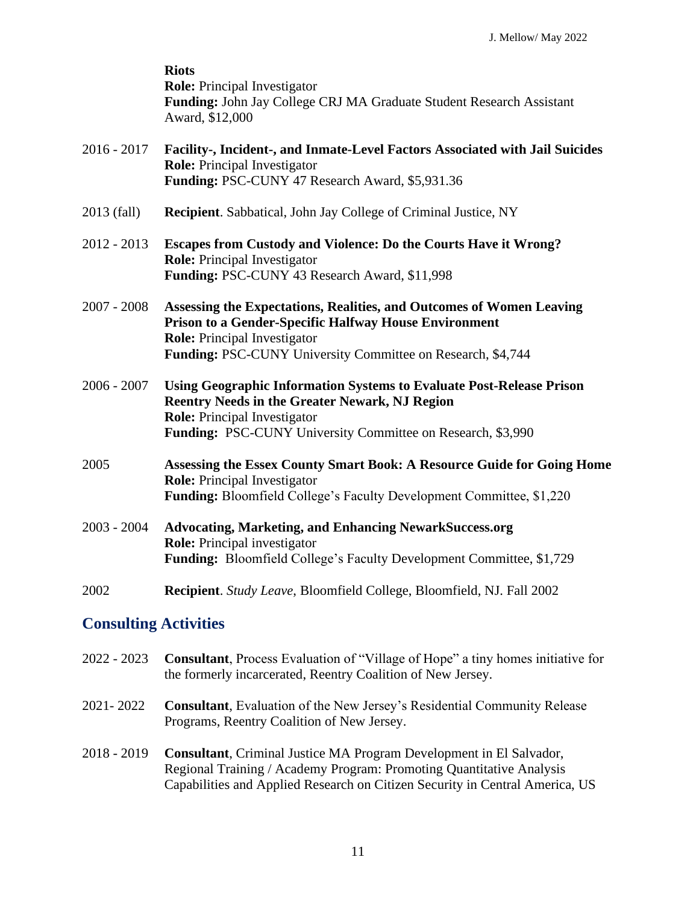|                              | <b>Riots</b><br><b>Role:</b> Principal Investigator<br>Funding: John Jay College CRJ MA Graduate Student Research Assistant<br>Award, \$12,000                                                                                             |
|------------------------------|--------------------------------------------------------------------------------------------------------------------------------------------------------------------------------------------------------------------------------------------|
| 2016 - 2017                  | Facility-, Incident-, and Inmate-Level Factors Associated with Jail Suicides<br><b>Role:</b> Principal Investigator<br>Funding: PSC-CUNY 47 Research Award, \$5,931.36                                                                     |
| 2013 (fall)                  | Recipient. Sabbatical, John Jay College of Criminal Justice, NY                                                                                                                                                                            |
| 2012 - 2013                  | Escapes from Custody and Violence: Do the Courts Have it Wrong?<br><b>Role:</b> Principal Investigator<br>Funding: PSC-CUNY 43 Research Award, \$11,998                                                                                    |
| 2007 - 2008                  | Assessing the Expectations, Realities, and Outcomes of Women Leaving<br>Prison to a Gender-Specific Halfway House Environment<br><b>Role:</b> Principal Investigator<br>Funding: PSC-CUNY University Committee on Research, \$4,744        |
| 2006 - 2007                  | <b>Using Geographic Information Systems to Evaluate Post-Release Prison</b><br><b>Reentry Needs in the Greater Newark, NJ Region</b><br><b>Role:</b> Principal Investigator<br>Funding: PSC-CUNY University Committee on Research, \$3,990 |
| 2005                         | Assessing the Essex County Smart Book: A Resource Guide for Going Home<br><b>Role:</b> Principal Investigator<br>Funding: Bloomfield College's Faculty Development Committee, \$1,220                                                      |
| 2003 - 2004                  | <b>Advocating, Marketing, and Enhancing NewarkSuccess.org</b><br><b>Role:</b> Principal investigator<br>Funding: Bloomfield College's Faculty Development Committee, \$1,729                                                               |
| 2002                         | Recipient. Study Leave, Bloomfield College, Bloomfield, NJ. Fall 2002                                                                                                                                                                      |
| <b>Consulting Activities</b> |                                                                                                                                                                                                                                            |

- 2022 2023 **Consultant**, Process Evaluation of "Village of Hope" a tiny homes initiative for the formerly incarcerated, Reentry Coalition of New Jersey.
- 2021- 2022 **Consultant**, Evaluation of the New Jersey's Residential Community Release Programs, Reentry Coalition of New Jersey.
- 2018 2019 **Consultant**, Criminal Justice MA Program Development in El Salvador, Regional Training / Academy Program: Promoting Quantitative Analysis Capabilities and Applied Research on Citizen Security in Central America, US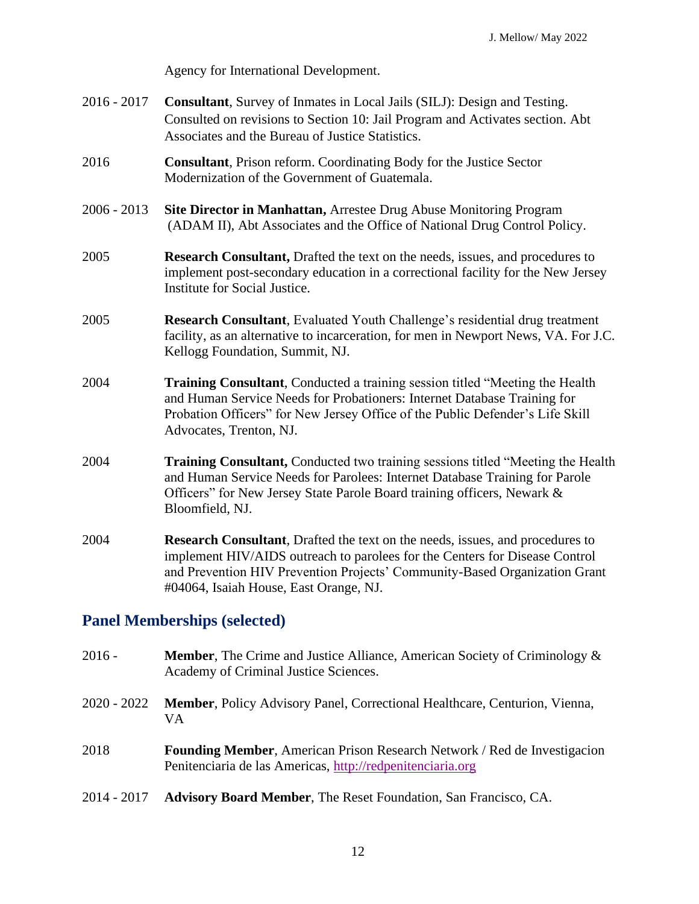Agency for International Development.

- 2016 2017 **Consultant**, Survey of Inmates in Local Jails (SILJ): Design and Testing. Consulted on revisions to Section 10: Jail Program and Activates section. Abt Associates and the Bureau of Justice Statistics.
- 2016 **Consultant**, Prison reform. Coordinating Body for the Justice Sector Modernization of the Government of Guatemala.
- 2006 2013 **Site Director in Manhattan,** Arrestee Drug Abuse Monitoring Program (ADAM II), Abt Associates and the Office of National Drug Control Policy.
- 2005 **Research Consultant,** Drafted the text on the needs, issues, and procedures to implement post-secondary education in a correctional facility for the New Jersey Institute for Social Justice.
- 2005 **Research Consultant**, Evaluated Youth Challenge's residential drug treatment facility, as an alternative to incarceration, for men in Newport News, VA. For J.C. Kellogg Foundation, Summit, NJ.
- 2004 **Training Consultant**, Conducted a training session titled "Meeting the Health and Human Service Needs for Probationers: Internet Database Training for Probation Officers" for New Jersey Office of the Public Defender's Life Skill Advocates, Trenton, NJ.
- 2004 **Training Consultant,** Conducted two training sessions titled "Meeting the Health and Human Service Needs for Parolees: Internet Database Training for Parole Officers" for New Jersey State Parole Board training officers, Newark & Bloomfield, NJ.
- 2004 **Research Consultant**, Drafted the text on the needs, issues, and procedures to implement HIV/AIDS outreach to parolees for the Centers for Disease Control and Prevention HIV Prevention Projects' Community-Based Organization Grant #04064, Isaiah House, East Orange, NJ.

## **Panel Memberships (selected)**

2016 - **Member**, The Crime and Justice Alliance, American Society of Criminology & Academy of Criminal Justice Sciences. 2020 - 2022 **Member**, Policy Advisory Panel, Correctional Healthcare, Centurion, Vienna, VA 2018 **Founding Member**, American Prison Research Network / Red de Investigacion Penitenciaria de las Americas, [http://redpenitenciaria.org](http://redpenitenciaria.org/) 2014 - 2017 **Advisory Board Member**, The Reset Foundation, San Francisco, CA.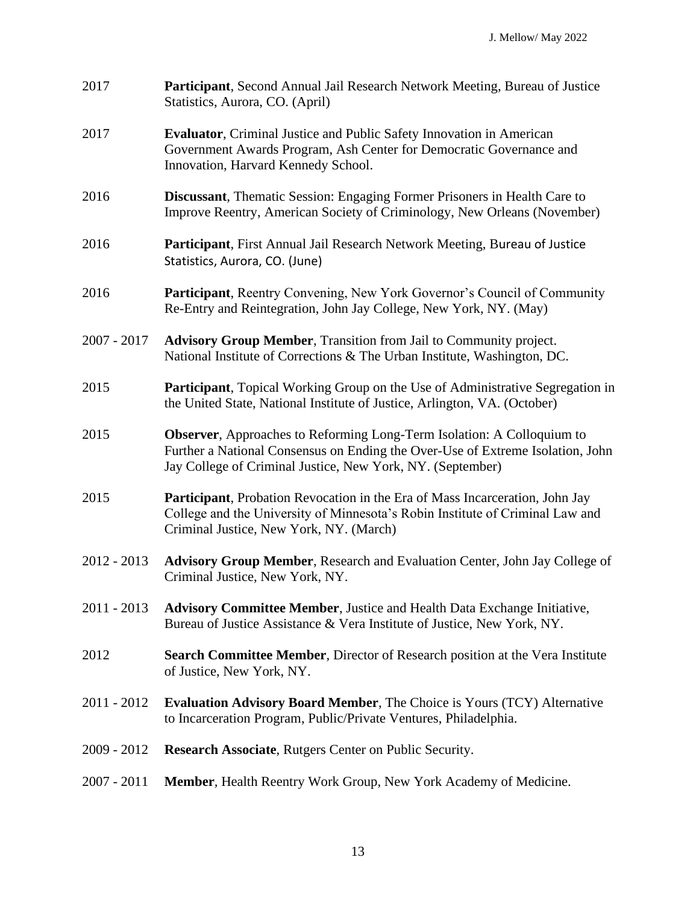| 2017          | <b>Participant, Second Annual Jail Research Network Meeting, Bureau of Justice</b><br>Statistics, Aurora, CO. (April)                                                                                                          |
|---------------|--------------------------------------------------------------------------------------------------------------------------------------------------------------------------------------------------------------------------------|
| 2017          | <b>Evaluator</b> , Criminal Justice and Public Safety Innovation in American<br>Government Awards Program, Ash Center for Democratic Governance and<br>Innovation, Harvard Kennedy School.                                     |
| 2016          | <b>Discussant</b> , Thematic Session: Engaging Former Prisoners in Health Care to<br>Improve Reentry, American Society of Criminology, New Orleans (November)                                                                  |
| 2016          | Participant, First Annual Jail Research Network Meeting, Bureau of Justice<br>Statistics, Aurora, CO. (June)                                                                                                                   |
| 2016          | Participant, Reentry Convening, New York Governor's Council of Community<br>Re-Entry and Reintegration, John Jay College, New York, NY. (May)                                                                                  |
| $2007 - 2017$ | <b>Advisory Group Member, Transition from Jail to Community project.</b><br>National Institute of Corrections & The Urban Institute, Washington, DC.                                                                           |
| 2015          | <b>Participant</b> , Topical Working Group on the Use of Administrative Segregation in<br>the United State, National Institute of Justice, Arlington, VA. (October)                                                            |
| 2015          | <b>Observer</b> , Approaches to Reforming Long-Term Isolation: A Colloquium to<br>Further a National Consensus on Ending the Over-Use of Extreme Isolation, John<br>Jay College of Criminal Justice, New York, NY. (September) |
| 2015          | Participant, Probation Revocation in the Era of Mass Incarceration, John Jay<br>College and the University of Minnesota's Robin Institute of Criminal Law and<br>Criminal Justice, New York, NY. (March)                       |
| $2012 - 2013$ | Advisory Group Member, Research and Evaluation Center, John Jay College of<br>Criminal Justice, New York, NY.                                                                                                                  |
| $2011 - 2013$ | <b>Advisory Committee Member, Justice and Health Data Exchange Initiative,</b><br>Bureau of Justice Assistance & Vera Institute of Justice, New York, NY.                                                                      |
| 2012          | <b>Search Committee Member, Director of Research position at the Vera Institute</b><br>of Justice, New York, NY.                                                                                                               |
| $2011 - 2012$ | <b>Evaluation Advisory Board Member, The Choice is Yours (TCY) Alternative</b><br>to Incarceration Program, Public/Private Ventures, Philadelphia.                                                                             |
| $2009 - 2012$ | Research Associate, Rutgers Center on Public Security.                                                                                                                                                                         |
| $2007 - 2011$ | <b>Member</b> , Health Reentry Work Group, New York Academy of Medicine.                                                                                                                                                       |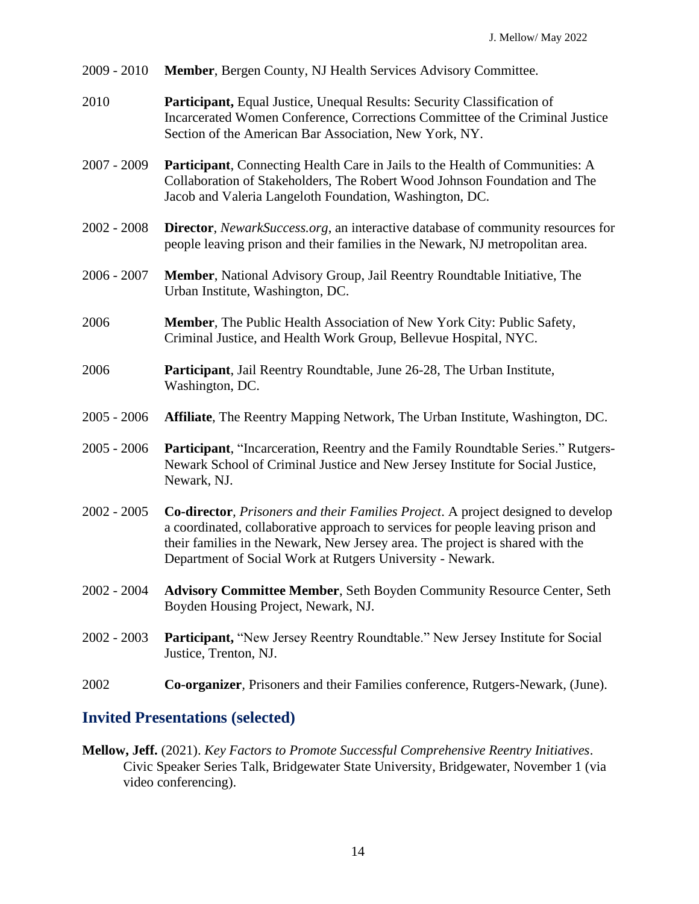- 2009 2010 **Member**, Bergen County, NJ Health Services Advisory Committee.
- 2010 **Participant,** Equal Justice, Unequal Results: Security Classification of Incarcerated Women Conference, Corrections Committee of the Criminal Justice Section of the American Bar Association, New York, NY.
- 2007 2009 **Participant**, Connecting Health Care in Jails to the Health of Communities: A Collaboration of Stakeholders, The Robert Wood Johnson Foundation and The Jacob and Valeria Langeloth Foundation, Washington, DC.
- 2002 2008 **Director**, *NewarkSuccess.org*, an interactive database of community resources for people leaving prison and their families in the Newark, NJ metropolitan area.
- 2006 2007 **Member**, National Advisory Group, Jail Reentry Roundtable Initiative, The Urban Institute, Washington, DC.
- 2006 **Member***,* The Public Health Association of New York City: Public Safety, Criminal Justice, and Health Work Group, Bellevue Hospital, NYC.
- 2006 **Participant**, Jail Reentry Roundtable, June 26-28, The Urban Institute, Washington, DC.
- 2005 2006 **Affiliate**, The Reentry Mapping Network, The Urban Institute, Washington, DC.
- 2005 2006 **Participant**, "Incarceration, Reentry and the Family Roundtable Series." Rutgers-Newark School of Criminal Justice and New Jersey Institute for Social Justice, Newark, NJ.
- 2002 2005 **Co-director***, Prisoners and their Families Project*. A project designed to develop a coordinated, collaborative approach to services for people leaving prison and their families in the Newark, New Jersey area. The project is shared with the Department of Social Work at Rutgers University - Newark.
- 2002 2004 **Advisory Committee Member**, Seth Boyden Community Resource Center, Seth Boyden Housing Project, Newark, NJ.
- 2002 2003 **Participant,** "New Jersey Reentry Roundtable." New Jersey Institute for Social Justice, Trenton, NJ.
- 2002 **Co-organizer***,* Prisoners and their Families conference, Rutgers-Newark, (June).

## **Invited Presentations (selected)**

**Mellow, Jeff.** (2021). *Key Factors to Promote Successful Comprehensive Reentry Initiatives*. Civic Speaker Series Talk, Bridgewater State University, Bridgewater, November 1 (via video conferencing).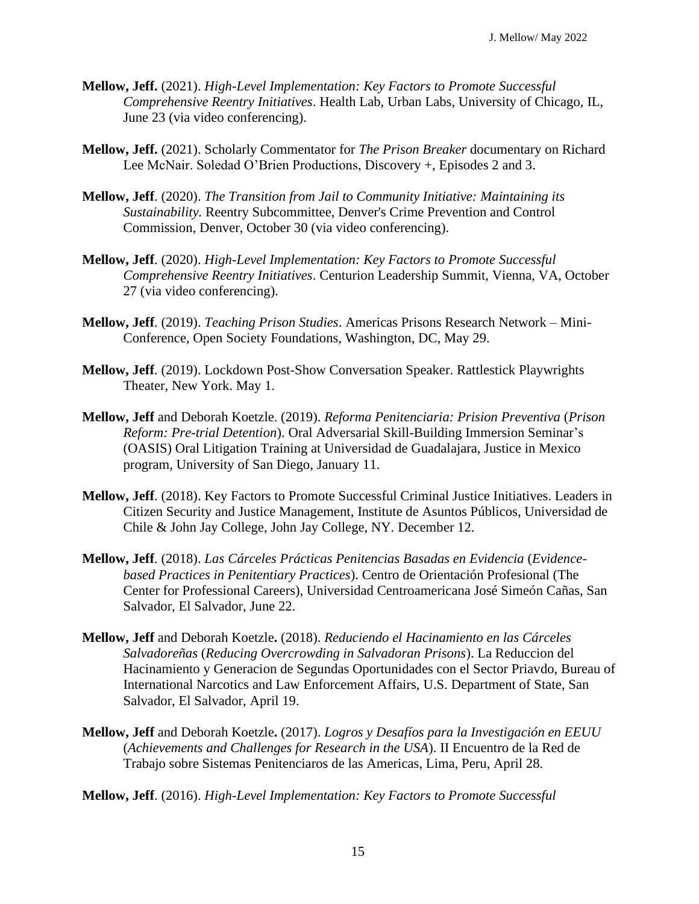- **Mellow, Jeff.** (2021). *High-Level Implementation: Key Factors to Promote Successful Comprehensive Reentry Initiatives*. Health Lab, Urban Labs, University of Chicago, IL, June 23 (via video conferencing).
- **Mellow, Jeff.** (2021). Scholarly Commentator for *The Prison Breaker* documentary on Richard Lee McNair. Soledad O'Brien Productions, Discovery +, Episodes 2 and 3.
- **Mellow, Jeff**. (2020). *The Transition from Jail to Community Initiative: Maintaining its Sustainability.* Reentry Subcommittee, Denver's Crime Prevention and Control Commission, Denver, October 30 (via video conferencing).
- **Mellow, Jeff**. (2020). *High-Level Implementation: Key Factors to Promote Successful Comprehensive Reentry Initiatives*. Centurion Leadership Summit, Vienna, VA, October 27 (via video conferencing).
- **Mellow, Jeff**. (2019). *Teaching Prison Studies*. Americas Prisons Research Network Mini-Conference, Open Society Foundations, Washington, DC, May 29.
- **Mellow, Jeff**. (2019). Lockdown Post-Show Conversation Speaker. Rattlestick Playwrights Theater, New York. May 1.
- **Mellow, Jeff** and Deborah Koetzle. (2019). *Reforma Penitenciaria: Prision Preventiva* (*Prison Reform: Pre-trial Detention*). Oral Adversarial Skill-Building Immersion Seminar's (OASIS) Oral Litigation Training at Universidad de Guadalajara, Justice in Mexico program, University of San Diego, January 11.
- **Mellow, Jeff**. (2018). Key Factors to Promote Successful Criminal Justice Initiatives. Leaders in Citizen Security and Justice Management, Institute de Asuntos Públicos, Universidad de Chile & John Jay College, John Jay College, NY. December 12.
- **Mellow, Jeff**. (2018). *Las Cárceles Prácticas Penitencias Basadas en Evidencia* (*Evidencebased Practices in Penitentiary Practices*). Centro de Orientación Profesional (The Center for Professional Careers), Universidad Centroamericana José Simeón Cañas, San Salvador, El Salvador, June 22.
- **Mellow, Jeff** and Deborah Koetzle**.** (2018). *Reduciendo el Hacinamiento en las Cárceles Salvadoreñas* (*Reducing Overcrowding in Salvadoran Prisons*). La Reduccion del Hacinamiento y Generacion de Segundas Oportunidades con el Sector Priavdo, Bureau of International Narcotics and Law Enforcement Affairs, U.S. Department of State, San Salvador, El Salvador, April 19.
- **Mellow, Jeff** and Deborah Koetzle**.** (2017). *Logros y Desafíos para la Investigación en EEUU* (*Achievements and Challenges for Research in the USA*). II Encuentro de la Red de Trabajo sobre Sistemas Penitenciaros de las Americas, Lima, Peru, April 28.
- **Mellow, Jeff**. (2016). *High-Level Implementation: Key Factors to Promote Successful*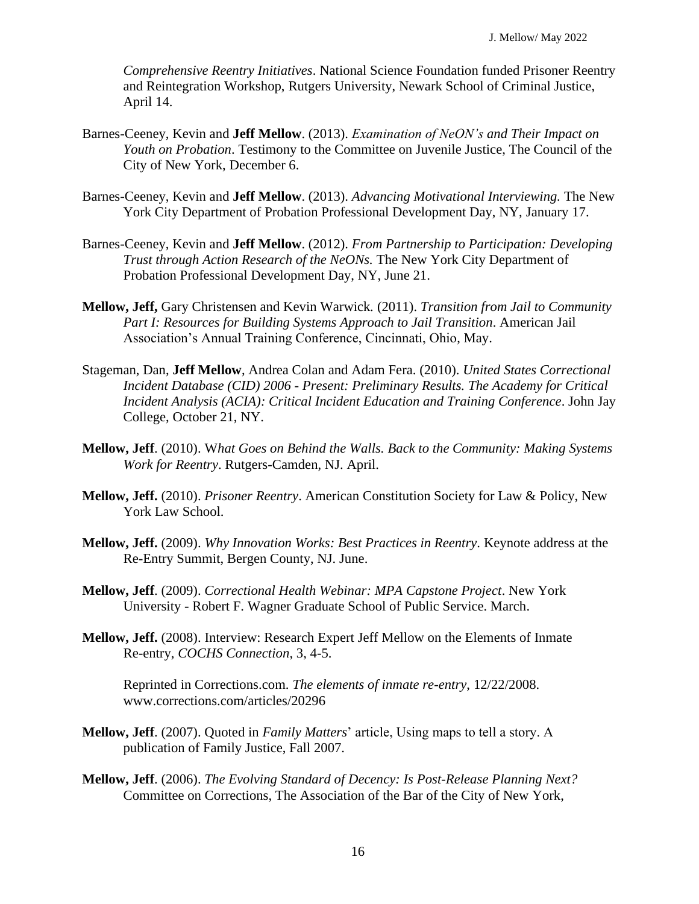*Comprehensive Reentry Initiatives*. National Science Foundation funded Prisoner Reentry and Reintegration Workshop, Rutgers University, Newark School of Criminal Justice, April 14.

- Barnes-Ceeney, Kevin and **Jeff Mellow**. (2013). *Examination of NeON's and Their Impact on Youth on Probation*. Testimony to the Committee on Juvenile Justice, The Council of the City of New York, December 6.
- Barnes-Ceeney, Kevin and **Jeff Mellow**. (2013). *Advancing Motivational Interviewing.* The New York City Department of Probation Professional Development Day, NY, January 17.
- Barnes-Ceeney, Kevin and **Jeff Mellow**. (2012). *From Partnership to Participation: Developing Trust through Action Research of the NeONs.* The New York City Department of Probation Professional Development Day, NY, June 21.
- **Mellow, Jeff,** Gary Christensen and Kevin Warwick*.* (2011). *Transition from Jail to Community Part I: Resources for Building Systems Approach to Jail Transition*. American Jail Association's Annual Training Conference, Cincinnati, Ohio, May.
- Stageman, Dan, **Jeff Mellow**, Andrea Colan and Adam Fera. (2010). *United States Correctional Incident Database (CID) 2006 - Present: Preliminary Results. The Academy for Critical Incident Analysis (ACIA): Critical Incident Education and Training Conference*. John Jay College, October 21, NY.
- **Mellow, Jeff**. (2010). W*hat Goes on Behind the Walls. Back to the Community: Making Systems Work for Reentry*. Rutgers-Camden, NJ. April.
- **Mellow, Jeff.** (2010). *Prisoner Reentry*. American Constitution Society for Law & Policy, New York Law School.
- **Mellow, Jeff.** (2009). *Why Innovation Works: Best Practices in Reentry*. Keynote address at the Re-Entry Summit, Bergen County, NJ. June.
- **Mellow, Jeff**. (2009). *Correctional Health Webinar: MPA Capstone Project*. New York University - Robert F. Wagner Graduate School of Public Service. March.
- **Mellow, Jeff.** (2008). Interview: Research Expert Jeff Mellow on the Elements of Inmate Re-entry, *COCHS Connection*, 3, 4-5.

Reprinted in Corrections.com. *The elements of inmate re-entry*, 12/22/2008. www.corrections.com/articles/20296

- **Mellow, Jeff**. (2007). Quoted in *Family Matters*' article, Using maps to tell a story. A publication of Family Justice, Fall 2007.
- **Mellow, Jeff**. (2006). *The Evolving Standard of Decency: Is Post-Release Planning Next?* Committee on Corrections, The Association of the Bar of the City of New York,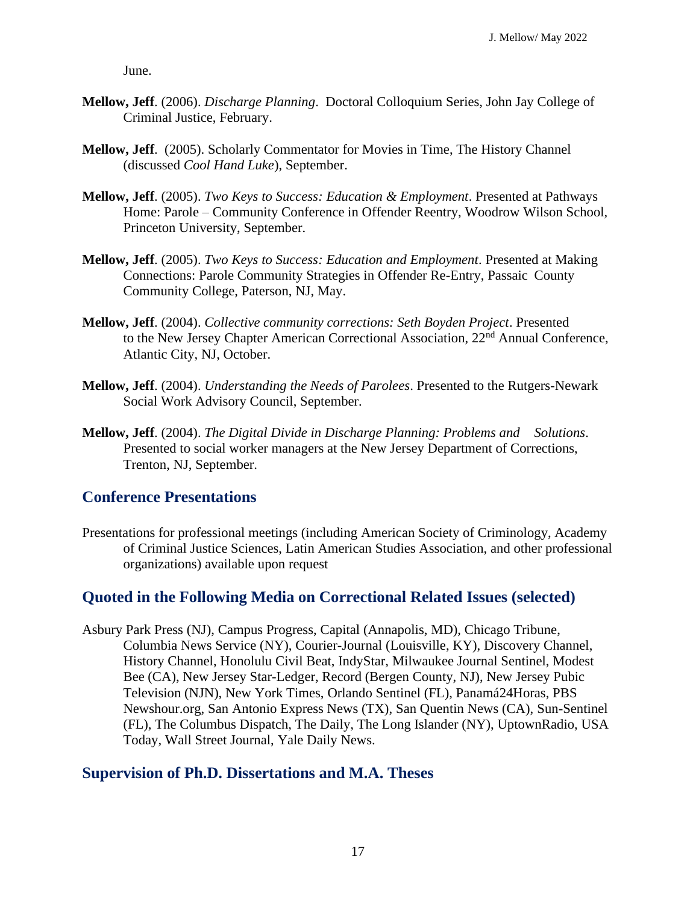June.

- **Mellow, Jeff**. (2006). *Discharge Planning*. Doctoral Colloquium Series, John Jay College of Criminal Justice, February.
- **Mellow, Jeff**. (2005). Scholarly Commentator for Movies in Time, The History Channel (discussed *Cool Hand Luke*), September.
- **Mellow, Jeff**. (2005). *Two Keys to Success: Education & Employment*. Presented at Pathways Home: Parole – Community Conference in Offender Reentry, Woodrow Wilson School, Princeton University, September.
- **Mellow, Jeff**. (2005). *Two Keys to Success: Education and Employment*. Presented at Making Connections: Parole Community Strategies in Offender Re-Entry, Passaic County Community College, Paterson, NJ, May.
- **Mellow, Jeff**. (2004). *Collective community corrections: Seth Boyden Project*. Presented to the New Jersey Chapter American Correctional Association, 22<sup>nd</sup> Annual Conference, Atlantic City, NJ, October.
- **Mellow, Jeff**. (2004). *Understanding the Needs of Parolees*. Presented to the Rutgers-Newark Social Work Advisory Council, September.
- **Mellow, Jeff**. (2004). *The Digital Divide in Discharge Planning: Problems and Solutions*. Presented to social worker managers at the New Jersey Department of Corrections, Trenton, NJ, September.

### **Conference Presentations**

Presentations for professional meetings (including American Society of Criminology, Academy of Criminal Justice Sciences, Latin American Studies Association, and other professional organizations) available upon request

## **Quoted in the Following Media on Correctional Related Issues (selected)**

Asbury Park Press (NJ), Campus Progress, Capital (Annapolis, MD), Chicago Tribune, Columbia News Service (NY), Courier-Journal (Louisville, KY), Discovery Channel, History Channel, Honolulu Civil Beat, IndyStar, Milwaukee Journal Sentinel, Modest Bee (CA), New Jersey Star-Ledger, Record (Bergen County, NJ), New Jersey Pubic Television (NJN), New York Times, Orlando Sentinel (FL), Panamá24Horas, PBS Newshour.org, San Antonio Express News (TX), San Quentin News (CA), Sun-Sentinel (FL), The Columbus Dispatch, The Daily, The Long Islander (NY), UptownRadio, USA Today, Wall Street Journal, Yale Daily News.

### **Supervision of Ph.D. Dissertations and M.A. Theses**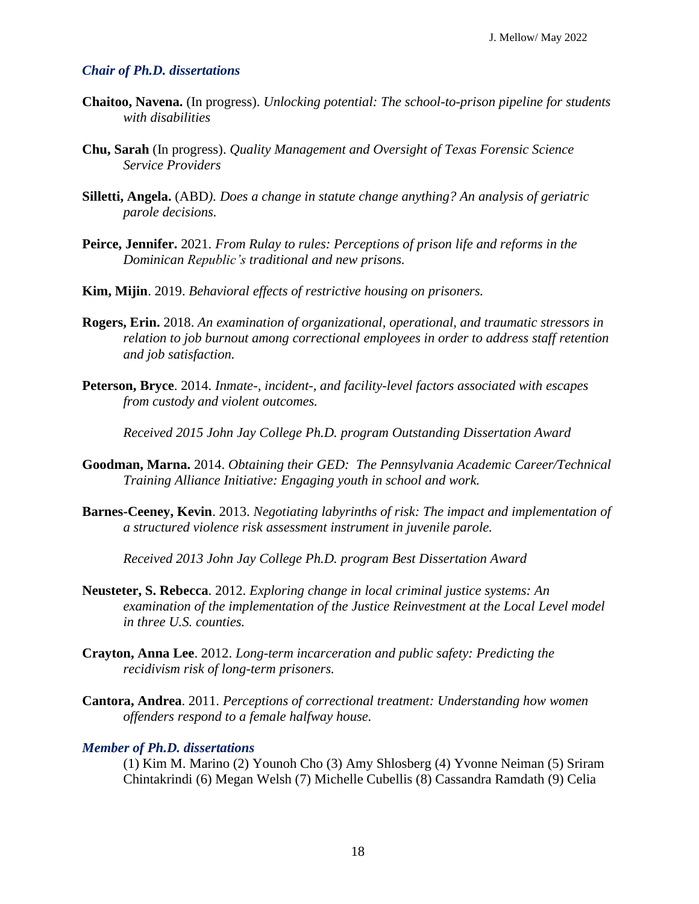#### *Chair of Ph.D. dissertations*

- **Chaitoo, Navena.** (In progress). *Unlocking potential: The school-to-prison pipeline for students with disabilities*
- **Chu, Sarah** (In progress). *Quality Management and Oversight of Texas Forensic Science Service Providers*
- **Silletti, Angela.** (ABD*). Does a change in statute change anything? An analysis of geriatric parole decisions.*
- **Peirce, Jennifer.** 2021. *From Rulay to rules: Perceptions of prison life and reforms in the Dominican Republic's traditional and new prisons.*
- **Kim, Mijin**. 2019. *Behavioral effects of restrictive housing on prisoners.*
- **Rogers, Erin.** 2018. *An examination of organizational, operational, and traumatic stressors in relation to job burnout among correctional employees in order to address staff retention and job satisfaction.*
- **Peterson, Bryce**. 2014. *Inmate-, incident-, and facility-level factors associated with escapes from custody and violent outcomes.*

*Received 2015 John Jay College Ph.D. program Outstanding Dissertation Award*

- **Goodman, Marna.** 2014. *Obtaining their GED: The Pennsylvania Academic Career/Technical Training Alliance Initiative: Engaging youth in school and work.*
- **Barnes-Ceeney, Kevin**. 2013. *Negotiating labyrinths of risk: The impact and implementation of a structured violence risk assessment instrument in juvenile parole.*

*Received 2013 John Jay College Ph.D. program Best Dissertation Award*

- **Neusteter, S. Rebecca**. 2012. *Exploring change in local criminal justice systems: An examination of the implementation of the Justice Reinvestment at the Local Level model in three U.S. counties.*
- **Crayton, Anna Lee**. 2012. *Long-term incarceration and public safety: Predicting the recidivism risk of long-term prisoners.*
- **Cantora, Andrea**. 2011. *Perceptions of correctional treatment: Understanding how women offenders respond to a female halfway house.*

#### *Member of Ph.D. dissertations*

(1) Kim M. Marino (2) Younoh Cho (3) Amy Shlosberg (4) Yvonne Neiman (5) Sriram Chintakrindi (6) Megan Welsh (7) Michelle Cubellis (8) Cassandra Ramdath (9) Celia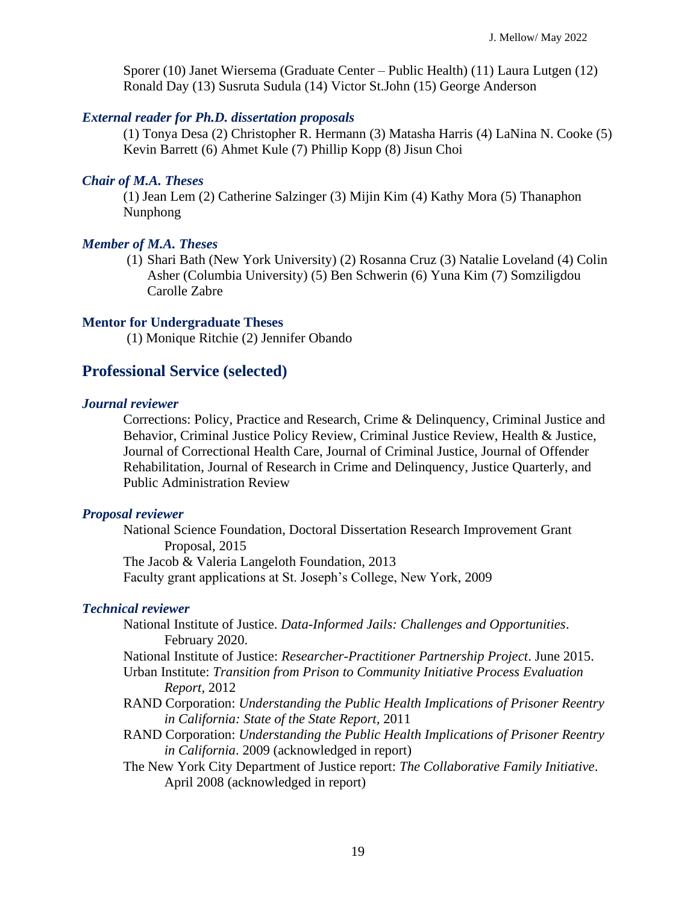Sporer (10) Janet Wiersema (Graduate Center – Public Health) (11) Laura Lutgen (12) Ronald Day (13) Susruta Sudula (14) Victor St.John (15) George Anderson

#### *External reader for Ph.D. dissertation proposals*

(1) Tonya Desa (2) Christopher R. Hermann (3) Matasha Harris (4) LaNina N. Cooke (5) Kevin Barrett (6) Ahmet Kule (7) Phillip Kopp (8) Jisun Choi

#### *Chair of M.A. Theses*

(1) Jean Lem (2) Catherine Salzinger (3) Mijin Kim (4) Kathy Mora (5) Thanaphon Nunphong

#### *Member of M.A. Theses*

(1) Shari Bath (New York University) (2) Rosanna Cruz (3) Natalie Loveland (4) Colin Asher (Columbia University) (5) Ben Schwerin (6) Yuna Kim (7) Somziligdou Carolle Zabre

#### **Mentor for Undergraduate Theses**

(1) Monique Ritchie (2) Jennifer Obando

#### **Professional Service (selected)**

#### *Journal reviewer*

Corrections: Policy, Practice and Research, Crime & Delinquency, Criminal Justice and Behavior, Criminal Justice Policy Review, Criminal Justice Review, Health & Justice, Journal of Correctional Health Care, Journal of Criminal Justice, Journal of Offender Rehabilitation, Journal of Research in Crime and Delinquency, Justice Quarterly, and Public Administration Review

#### *Proposal reviewer*

National Science Foundation, Doctoral Dissertation Research Improvement Grant Proposal, 2015 The Jacob & Valeria Langeloth Foundation, 2013 Faculty grant applications at St. Joseph's College, New York, 2009

#### *Technical reviewer*

- National Institute of Justice. *Data-Informed Jails: Challenges and Opportunities*. February 2020.
- National Institute of Justice: *Researcher-Practitioner Partnership Project*. June 2015. Urban Institute: *Transition from Prison to Community Initiative Process Evaluation Report,* 2012
- RAND Corporation: *Understanding the Public Health Implications of Prisoner Reentry in California: State of the State Report,* 2011
- RAND Corporation: *Understanding the Public Health Implications of Prisoner Reentry in California*. 2009 (acknowledged in report)
- The New York City Department of Justice report: *The Collaborative Family Initiative*. April 2008 (acknowledged in report)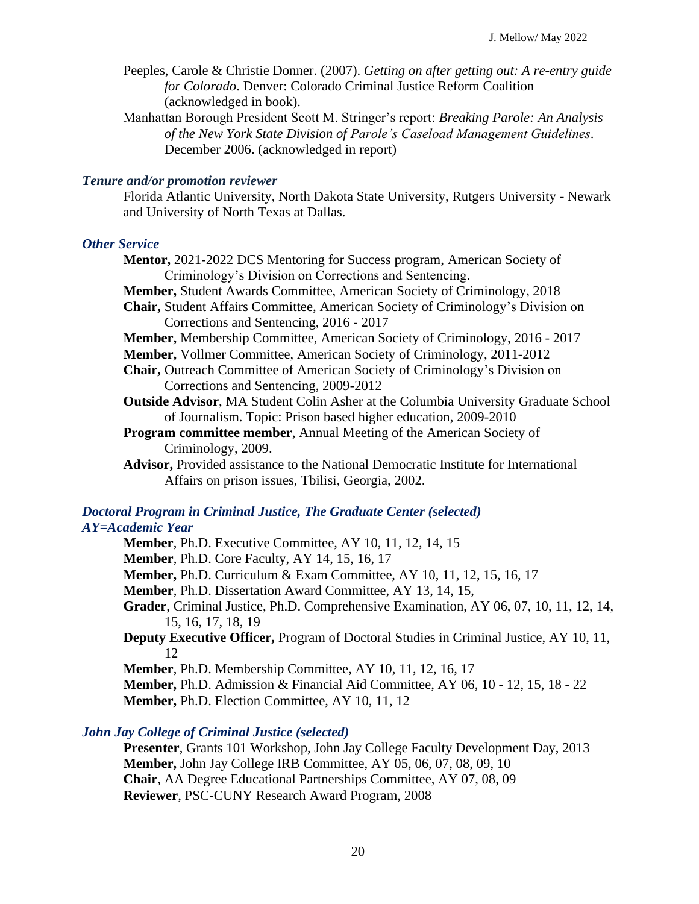Peeples, Carole & Christie Donner. (2007). *Getting on after getting out: A re-entry guide for Colorado*. Denver: Colorado Criminal Justice Reform Coalition (acknowledged in book).

Manhattan Borough President Scott M. Stringer's report: *Breaking Parole: An Analysis of the New York State Division of Parole's Caseload Management Guidelines*. December 2006. (acknowledged in report)

#### *Tenure and/or promotion reviewer*

Florida Atlantic University, North Dakota State University, Rutgers University - Newark and University of North Texas at Dallas.

#### *Other Service*

**Mentor,** 2021-2022 DCS Mentoring for Success program, American Society of Criminology's Division on Corrections and Sentencing. **Member,** Student Awards Committee, American Society of Criminology, 2018 **Chair,** Student Affairs Committee, American Society of Criminology's Division on Corrections and Sentencing, 2016 - 2017 **Member,** Membership Committee, American Society of Criminology, 2016 - 2017 **Member,** Vollmer Committee, American Society of Criminology, 2011-2012 **Chair,** Outreach Committee of American Society of Criminology's Division on Corrections and Sentencing, 2009-2012 **Outside Advisor**, MA Student Colin Asher at the Columbia University Graduate School of Journalism. Topic: Prison based higher education, 2009-2010 **Program committee member**, Annual Meeting of the American Society of Criminology, 2009. **Advisor,** Provided assistance to the National Democratic Institute for International Affairs on prison issues, Tbilisi, Georgia, 2002.

#### *Doctoral Program in Criminal Justice, The Graduate Center (selected) AY=Academic Year*

**Member**, Ph.D. Executive Committee, AY 10, 11, 12, 14, 15 **Member**, Ph.D. Core Faculty, AY 14, 15, 16, 17 **Member,** Ph.D. Curriculum & Exam Committee, AY 10, 11, 12, 15, 16, 17 **Member**, Ph.D. Dissertation Award Committee, AY 13, 14, 15, **Grader**, Criminal Justice, Ph.D. Comprehensive Examination, AY 06, 07, 10, 11, 12, 14, 15, 16, 17, 18, 19 **Deputy Executive Officer,** Program of Doctoral Studies in Criminal Justice, AY 10, 11, 12 **Member**, Ph.D. Membership Committee, AY 10, 11, 12, 16, 17 **Member,** Ph.D. Admission & Financial Aid Committee, AY 06, 10 - 12, 15, 18 - 22 **Member,** Ph.D. Election Committee, AY 10, 11, 12

#### *John Jay College of Criminal Justice (selected)*

**Presenter**, Grants 101 Workshop, John Jay College Faculty Development Day, 2013 **Member,** John Jay College IRB Committee, AY 05, 06, 07, 08, 09, 10 **Chair**, AA Degree Educational Partnerships Committee, AY 07, 08, 09 **Reviewer**, PSC-CUNY Research Award Program, 2008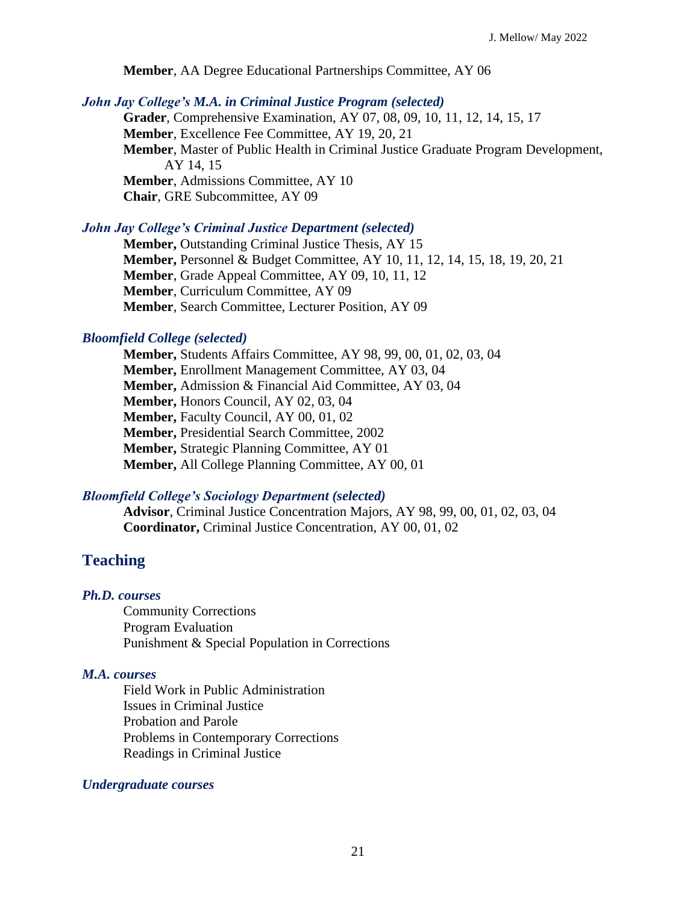**Member**, AA Degree Educational Partnerships Committee, AY 06

#### *John Jay College's M.A. in Criminal Justice Program (selected)*

**Grader**, Comprehensive Examination, AY 07, 08, 09, 10, 11, 12, 14, 15, 17 **Member**, Excellence Fee Committee, AY 19, 20, 21 **Member**, Master of Public Health in Criminal Justice Graduate Program Development, AY 14, 15 **Member**, Admissions Committee, AY 10 **Chair**, GRE Subcommittee, AY 09

#### *John Jay College's Criminal Justice Department (selected)*

**Member,** Outstanding Criminal Justice Thesis, AY 15 **Member,** Personnel & Budget Committee, AY 10, 11, 12, 14, 15, 18, 19, 20, 21 **Member**, Grade Appeal Committee, AY 09, 10, 11, 12 **Member**, Curriculum Committee, AY 09 **Member**, Search Committee, Lecturer Position, AY 09

#### *Bloomfield College (selected)*

**Member,** Students Affairs Committee, AY 98, 99, 00, 01, 02, 03, 04 **Member,** Enrollment Management Committee, AY 03, 04 **Member,** Admission & Financial Aid Committee, AY 03, 04 **Member,** Honors Council, AY 02, 03, 04 **Member,** Faculty Council, AY 00, 01, 02 **Member,** Presidential Search Committee, 2002 **Member,** Strategic Planning Committee, AY 01 **Member,** All College Planning Committee, AY 00, 01

#### *Bloomfield College's Sociology Department (selected)*

**Advisor**, Criminal Justice Concentration Majors, AY 98, 99, 00, 01, 02, 03, 04 **Coordinator,** Criminal Justice Concentration, AY 00, 01, 02

## **Teaching**

#### *Ph.D. courses*

Community Corrections Program Evaluation Punishment & Special Population in Corrections

### *M.A. courses*

Field Work in Public Administration Issues in Criminal Justice Probation and Parole Problems in Contemporary Corrections Readings in Criminal Justice

#### *Undergraduate courses*